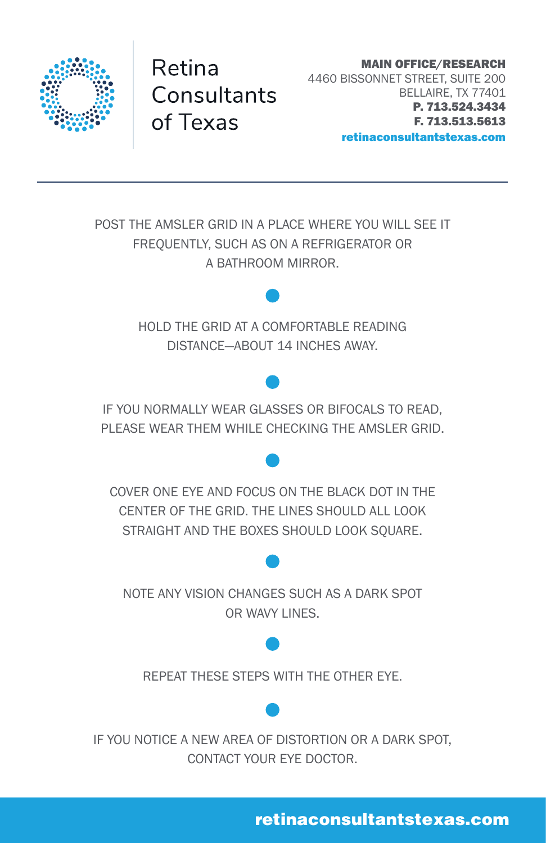

Retina Consultants of Texas

MAIN OFFICE/RESEARCH 4460 BISSONNET STREET, SUITE 200 BELLAIRE, TX 77401 P. 713.524.3434 F. 713.513.5613 retinaconsultantstexas.com

POST THE AMSLER GRID IN A PLACE WHERE YOU WILL SEE IT FREQUENTLY, SUCH AS ON A REFRIGERATOR OR A BATHROOM MIRROR. HOLD THE GRID AT A COMFORTABLE READING DISTANCE—ABOUT 14 INCHES AWAY. IF YOU NORMALLY WEAR GLASSES OR BIFOCALS TO READ, PLEASE WEAR THEM WHILE CHECKING THE AMSLER GRID. COVER ONE EYE AND FOCUS ON THE BLACK DOT IN THE CENTER OF THE GRID. THE LINES SHOULD ALL LOOK STRAIGHT AND THE BOXES SHOULD LOOK SOUARE. NOTE ANY VISION CHANGES SUCH AS A DARK SPOT OR WAVY LINES. REPEAT THESE STEPS WITH THE OTHER EYE. IF YOU NOTICE A NEW AREA OF DISTORTION OR A DARK SPOT, CONTACT YOUR EYE DOCTOR.

retinaconsultantstexas.com